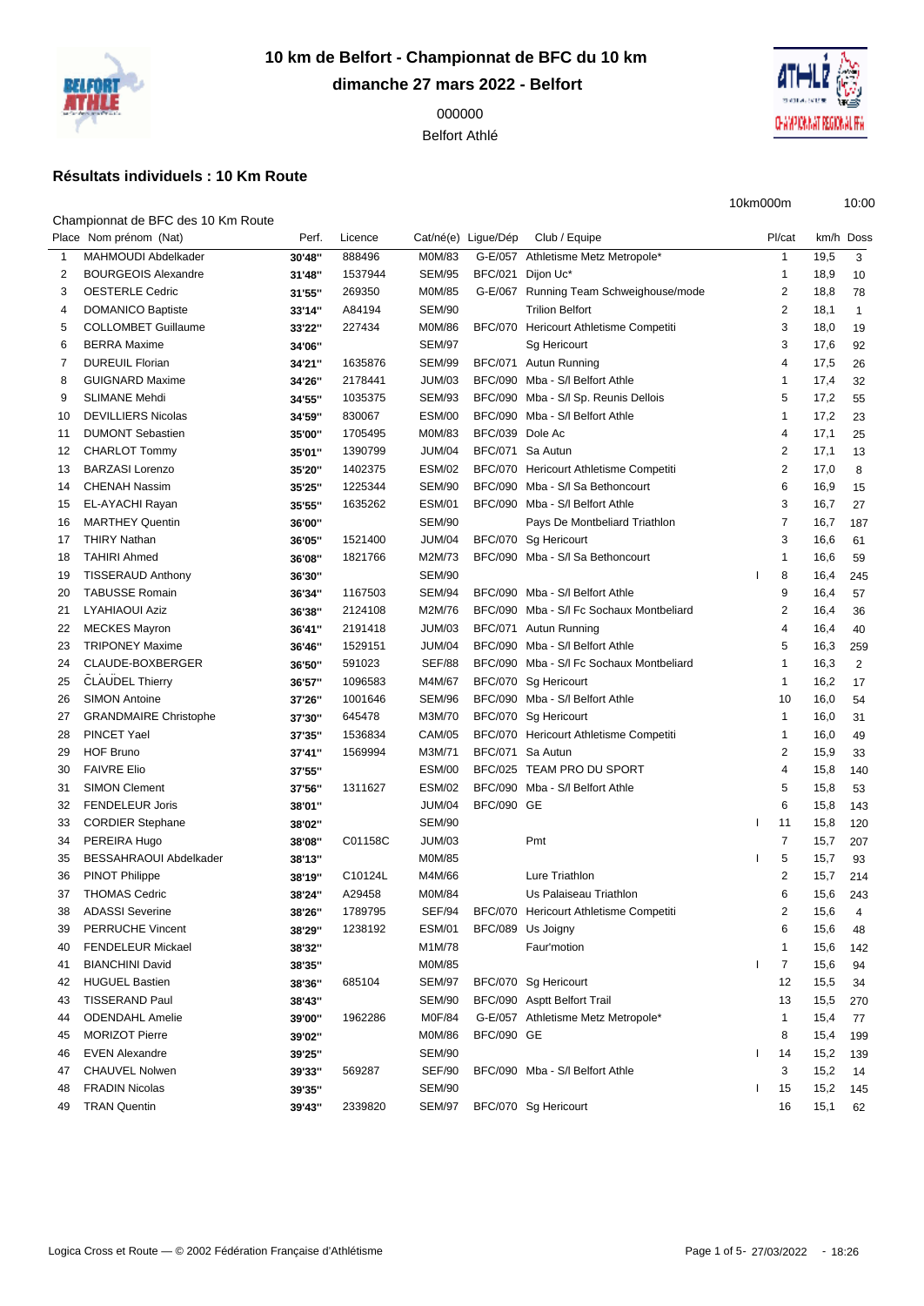

**10 km de Belfort - Championnat de BFC du 10 km dimanche 27 mars 2022 - Belfort**

> Belfort Athlé

## **Résultats individuels : 10 Km Route**

Championnat de BFC des 10 Km Route

|                | Place Nom prénom (Nat)        | Perf.            | Licence | Cat/né(e) Ligue/Dép |                   | Club / Equipe                            | Pl/cat         |      | km/h Doss      |
|----------------|-------------------------------|------------------|---------|---------------------|-------------------|------------------------------------------|----------------|------|----------------|
| $\mathbf{1}$   | MAHMOUDI Abdelkader           | 30'48"           | 888496  | M0M/83              |                   | G-E/057 Athletisme Metz Metropole*       | $\mathbf{1}$   | 19,5 | 3              |
| $\overline{2}$ | <b>BOURGEOIS Alexandre</b>    | 31'48"           | 1537944 | <b>SEM/95</b>       | BFC/021 Dijon Uc* |                                          | $\mathbf{1}$   | 18,9 | 10             |
| 3              | <b>OESTERLE Cedric</b>        | 31'55"           | 269350  | M0M/85              |                   | G-E/067 Running Team Schweighouse/mode   | 2              | 18,8 | 78             |
| 4              | <b>DOMANICO Baptiste</b>      | 33'14"           | A84194  | <b>SEM/90</b>       |                   | <b>Trilion Belfort</b>                   | $\overline{2}$ | 18,1 | $\mathbf{1}$   |
| 5              | <b>COLLOMBET Guillaume</b>    | 33'22"           | 227434  | M0M/86              |                   | BFC/070 Hericourt Athletisme Competiti   | 3              | 18,0 | 19             |
| 6              | <b>BERRA Maxime</b>           | 34'06"           |         | <b>SEM/97</b>       |                   | Sg Hericourt                             | 3              | 17,6 | 92             |
| 7              | <b>DUREUIL Florian</b>        | 34'21"           | 1635876 | <b>SEM/99</b>       |                   | BFC/071 Autun Running                    | $\overline{4}$ | 17,5 | 26             |
| 8              | <b>GUIGNARD Maxime</b>        | 34'26"           | 2178441 | JUM/03              |                   | BFC/090 Mba - S/I Belfort Athle          | $\mathbf{1}$   | 17,4 | 32             |
| 9              | <b>SLIMANE Mehdi</b>          | 34'55"           | 1035375 | <b>SEM/93</b>       |                   | BFC/090 Mba - S/I Sp. Reunis Dellois     | 5              | 17,2 | 55             |
| 10             | <b>DEVILLIERS Nicolas</b>     | 34'59"           | 830067  | ESM/00              |                   | BFC/090 Mba - S/I Belfort Athle          | $\mathbf{1}$   | 17,2 | 23             |
| 11             | <b>DUMONT Sebastien</b>       | 35'00"           | 1705495 | M0M/83              | BFC/039 Dole Ac   |                                          | $\overline{4}$ | 17,1 | 25             |
| 12             | <b>CHARLOT Tommy</b>          | 35'01"           | 1390799 | JUM/04              | BFC/071 Sa Autun  |                                          | 2              | 17,1 | 13             |
| 13             | <b>BARZASI Lorenzo</b>        | 35'20"           | 1402375 | <b>ESM/02</b>       |                   | BFC/070 Hericourt Athletisme Competiti   | 2              | 17,0 | 8              |
| 14             | <b>CHENAH Nassim</b>          | 35'25"           | 1225344 | <b>SEM/90</b>       |                   | BFC/090 Mba - S/I Sa Bethoncourt         | 6              | 16,9 | 15             |
| 15             | EL-AYACHI Rayan               | 35'55"           | 1635262 | <b>ESM/01</b>       |                   | BFC/090 Mba - S/I Belfort Athle          | 3              | 16,7 | 27             |
| 16             | <b>MARTHEY Quentin</b>        | 36'00"           |         | <b>SEM/90</b>       |                   | Pays De Montbeliard Triathlon            | $\overline{7}$ | 16,7 | 187            |
| 17             | <b>THIRY Nathan</b>           | 36'05"           | 1521400 | JUM/04              |                   | BFC/070 Sg Hericourt                     | 3              | 16,6 | 61             |
| 18             | <b>TAHIRI Ahmed</b>           | 36'08"           | 1821766 | M2M/73              |                   | BFC/090 Mba - S/I Sa Bethoncourt         | $\mathbf{1}$   | 16,6 | 59             |
| 19             | <b>TISSERAUD Anthony</b>      | 36'30"           |         | <b>SEM/90</b>       |                   |                                          | 8              | 16,4 | 245            |
| 20             | <b>TABUSSE Romain</b>         | 36'34"           | 1167503 | SEM/94              |                   | BFC/090 Mba - S/I Belfort Athle          | 9              | 16,4 | 57             |
| 21             | <b>LYAHIAOUI Aziz</b>         | 36'38"           | 2124108 | M2M/76              |                   | BFC/090 Mba - S/I Fc Sochaux Montbeliard | $\overline{2}$ | 16,4 | 36             |
| 22             | <b>MECKES Mayron</b>          | 36'41"           | 2191418 | JUM/03              |                   | BFC/071 Autun Running                    | $\overline{4}$ | 16,4 | 40             |
| 23             | <b>TRIPONEY Maxime</b>        | 36'46"           | 1529151 | JUM/04              |                   | BFC/090 Mba - S/I Belfort Athle          | 5              | 16,3 | 259            |
| 24             | CLAUDE-BOXBERGER              | 36'50"           | 591023  | <b>SEF/88</b>       |                   | BFC/090 Mba - S/I Fc Sochaux Montbeliard | $\mathbf{1}$   | 16,3 | 2              |
| 25             | <b>CLAUDEL Thierry</b>        | 36'57"           | 1096583 | M4M/67              |                   | BFC/070 Sg Hericourt                     | $\mathbf{1}$   | 16,2 | 17             |
| 26             | <b>SIMON Antoine</b>          | 37'26"           | 1001646 | <b>SEM/96</b>       |                   | BFC/090 Mba - S/I Belfort Athle          | 10             | 16,0 | 54             |
| 27             | <b>GRANDMAIRE Christophe</b>  | 37'30"           | 645478  | M3M/70              |                   | BFC/070 Sg Hericourt                     | $\mathbf{1}$   | 16,0 | 31             |
| 28             | PINCET Yael                   | 37'35"           | 1536834 | <b>CAM/05</b>       |                   | BFC/070 Hericourt Athletisme Competiti   | $\mathbf{1}$   | 16,0 | 49             |
| 29             | <b>HOF Bruno</b>              | 37'41"           | 1569994 | M3M/71              | BFC/071 Sa Autun  |                                          | $\overline{2}$ | 15,9 | 33             |
| 30             | <b>FAIVRE Elio</b>            | 37'55"           |         | ESM/00              |                   | BFC/025 TEAM PRO DU SPORT                | $\overline{4}$ | 15,8 | 140            |
| 31             | <b>SIMON Clement</b>          | 37'56"           | 1311627 | <b>ESM/02</b>       |                   | BFC/090 Mba - S/I Belfort Athle          | 5              | 15,8 | 53             |
| 32             | <b>FENDELEUR Joris</b>        | 38'01"           |         | JUM/04              | <b>BFC/090 GE</b> |                                          | 6              | 15,8 | 143            |
| 33             | <b>CORDIER Stephane</b>       | 38'02"           |         | <b>SEM/90</b>       |                   |                                          | 11             | 15,8 | 120            |
| 34             | PEREIRA Hugo                  | 38'08"           | C01158C | <b>JUM/03</b>       |                   | Pmt                                      | $\overline{7}$ | 15,7 | 207            |
| 35             | <b>BESSAHRAOUI Abdelkader</b> | 38'13"           |         | M0M/85              |                   |                                          | 5              | 15,7 | 93             |
| 36             | PINOT Philippe                | 38'19"           | C10124L | M4M/66              |                   | Lure Triathlon                           | $\overline{2}$ | 15,7 | 214            |
| 37             | <b>THOMAS Cedric</b>          | 38'24"           | A29458  | M0M/84              |                   | Us Palaiseau Triathlon                   | 6              | 15,6 | 243            |
| 38             | <b>ADASSI Severine</b>        | 38'26"           | 1789795 | SEF/94              |                   | BFC/070 Hericourt Athletisme Competiti   | 2              | 15,6 | $\overline{4}$ |
| 39             | PERRUCHE Vincent              |                  | 1238192 | <b>ESM/01</b>       |                   | BFC/089 Us Joigny                        | 6              | 15,6 |                |
| 40             | <b>FENDELEUR Mickael</b>      | 38'29"<br>38'32" |         | M1M/78              |                   | Faur'motion                              | $\mathbf{1}$   | 15,6 | 48<br>142      |
| 41             | <b>BIANCHINI David</b>        | 38'35"           |         | M0M/85              |                   |                                          | $\overline{7}$ | 15,6 | 94             |
| 42             | <b>HUGUEL Bastien</b>         |                  | 685104  | <b>SEM/97</b>       |                   | BFC/070 Sg Hericourt                     | 12             | 15,5 |                |
|                | <b>TISSERAND Paul</b>         | 38'36"           |         | <b>SEM/90</b>       |                   | BFC/090 Asptt Belfort Trail              | 13             |      | 34             |
| 43             | <b>ODENDAHL Amelie</b>        | 38'43"           |         |                     |                   | G-E/057 Athletisme Metz Metropole*       | $\mathbf{1}$   | 15,5 | 270            |
| 44             |                               | 39'00"           | 1962286 | M0F/84              |                   |                                          |                | 15,4 | 77             |
| 45             | <b>MORIZOT Pierre</b>         | 39'02"           |         | M0M/86              | <b>BFC/090 GE</b> |                                          | 8              | 15,4 | 199            |
| 46             | <b>EVEN Alexandre</b>         | 39'25"           |         | <b>SEM/90</b>       |                   |                                          | 14             | 15,2 | 139            |
| 47             | <b>CHAUVEL Nolwen</b>         | 39'33"           | 569287  | <b>SEF/90</b>       |                   | BFC/090 Mba - S/I Belfort Athle          | 3              | 15,2 | 14             |
| 48             | <b>FRADIN Nicolas</b>         | 39'35"           |         | <b>SEM/90</b>       |                   |                                          | 15             | 15,2 | 145            |
| 49             | <b>TRAN Quentin</b>           | 39'43"           | 2339820 | <b>SEM/97</b>       |                   | BFC/070 Sg Hericourt                     | 16             | 15,1 | 62             |



10km000m 10:00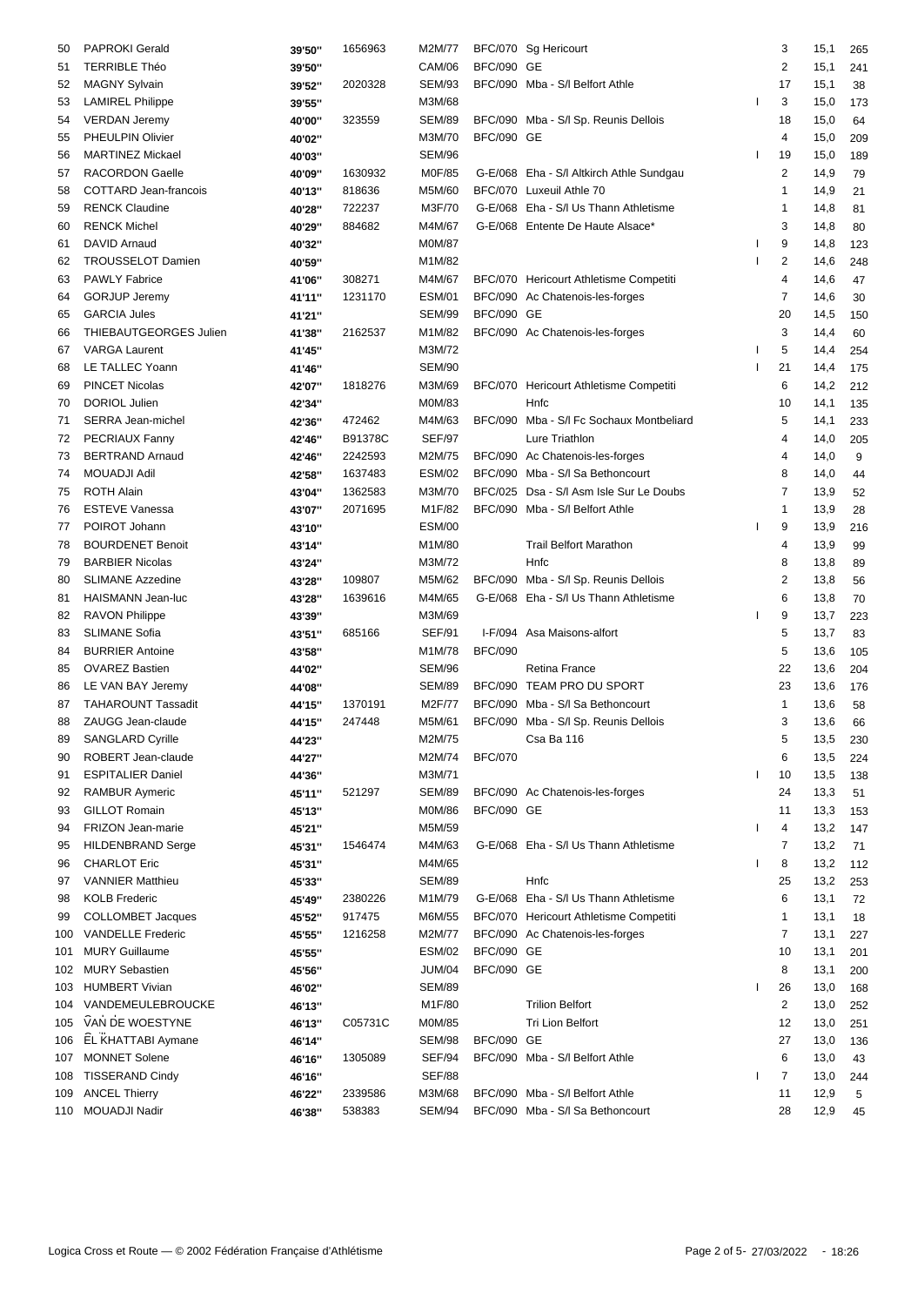| 50  | <b>PAPROKI Gerald</b>                          | 39'50" | 1656963 | M2M/77                  |                   | BFC/070 Sg Hericourt                     | 3                       | 15,1     | 265 |
|-----|------------------------------------------------|--------|---------|-------------------------|-------------------|------------------------------------------|-------------------------|----------|-----|
| 51  | <b>TERRIBLE Théo</b>                           | 39'50" |         | <b>CAM/06</b>           | <b>BFC/090 GE</b> |                                          | 2                       | 15,1     | 241 |
| 52  | <b>MAGNY Sylvain</b>                           | 39'52" | 2020328 | <b>SEM/93</b>           |                   | BFC/090 Mba - S/I Belfort Athle          | 17                      | 15,1     | 38  |
| 53  | <b>LAMIREL Philippe</b>                        | 39'55" |         | M3M/68                  |                   |                                          | 3                       | 15,0     | 173 |
| 54  | <b>VERDAN Jeremy</b>                           | 40'00" | 323559  | <b>SEM/89</b>           |                   | BFC/090 Mba - S/I Sp. Reunis Dellois     | 18                      | 15,0     | 64  |
| 55  | PHEULPIN Olivier                               | 40'02" |         | M3M/70                  | <b>BFC/090 GE</b> |                                          | 4                       | 15,0     | 209 |
| 56  | <b>MARTINEZ Mickael</b>                        | 40'03" |         | <b>SEM/96</b>           |                   |                                          | 19                      | 15,0     | 189 |
| 57  | <b>RACORDON Gaelle</b>                         | 40'09" | 1630932 | M0F/85                  |                   | G-E/068 Eha - S/I Altkirch Athle Sundgau | $\overline{c}$          | 14,9     | 79  |
| 58  | COTTARD Jean-francois                          | 40'13" | 818636  | M5M/60                  |                   | BFC/070 Luxeuil Athle 70                 | 1                       | 14,9     | 21  |
| 59  | <b>RENCK Claudine</b>                          | 40'28" | 722237  | M3F/70                  |                   | G-E/068 Eha - S/I Us Thann Athletisme    | 1                       | 14,8     | 81  |
| 60  | <b>RENCK Michel</b>                            | 40'29" | 884682  | M4M/67                  |                   | G-E/068 Entente De Haute Alsace*         | 3                       | 14,8     | 80  |
| 61  | DAVID Arnaud                                   | 40'32" |         | <b>M0M/87</b>           |                   |                                          | 9                       | 14,8     | 123 |
| 62  | <b>TROUSSELOT Damien</b>                       | 40'59" |         | M1M/82                  |                   |                                          | $\overline{\mathbf{c}}$ | 14,6     | 248 |
| 63  | <b>PAWLY Fabrice</b>                           | 41'06" | 308271  | M4M/67                  |                   | BFC/070 Hericourt Athletisme Competiti   | 4                       | 14,6     | 47  |
| 64  | <b>GORJUP Jeremy</b>                           | 41'11" | 1231170 | ESM/01                  |                   | BFC/090 Ac Chatenois-les-forges          | 7                       | 14,6     | 30  |
| 65  | <b>GARCIA Jules</b>                            |        |         | <b>SEM/99</b>           | <b>BFC/090 GE</b> |                                          | 20                      | 14,5     |     |
|     |                                                | 41'21" |         |                         |                   |                                          |                         |          | 150 |
| 66  | THIEBAUTGEORGES Julien<br><b>VARGA Laurent</b> | 41'38" | 2162537 | M1M/82                  |                   | BFC/090 Ac Chatenois-les-forges          | 3                       | 14,4     | 60  |
| 67  |                                                | 41'45" |         | M3M/72<br><b>SEM/90</b> |                   |                                          | 5<br>21                 | 14,4     | 254 |
| 68  | LE TALLEC Yoann                                | 41'46" |         |                         |                   |                                          |                         | 14,4     | 175 |
| 69  | <b>PINCET Nicolas</b>                          | 42'07" | 1818276 | M3M/69                  |                   | BFC/070 Hericourt Athletisme Competiti   | 6                       | 14,2     | 212 |
| 70  | DORIOL Julien                                  | 42'34" |         | M0M/83                  |                   | Hnfc                                     | 10                      | 14,1     | 135 |
| 71  | SERRA Jean-michel                              | 42'36" | 472462  | M4M/63                  |                   | BFC/090 Mba - S/I Fc Sochaux Montbeliard | 5                       | 14,1     | 233 |
| 72  | PECRIAUX Fanny                                 | 42'46" | B91378C | <b>SEF/97</b>           |                   | Lure Triathlon                           | $\overline{4}$          | 14,0     | 205 |
| 73  | <b>BERTRAND Arnaud</b>                         | 42'46" | 2242593 | M2M/75                  |                   | BFC/090 Ac Chatenois-les-forges          | 4                       | 14,0     | 9   |
| 74  | MOUADJI Adil                                   | 42'58" | 1637483 | <b>ESM/02</b>           |                   | BFC/090 Mba - S/I Sa Bethoncourt         | 8                       | 14,0     | 44  |
| 75  | <b>ROTH Alain</b>                              | 43'04" | 1362583 | M3M/70                  |                   | BFC/025 Dsa - S/I Asm Isle Sur Le Doubs  | 7                       | 13,9     | 52  |
| 76  | <b>ESTEVE Vanessa</b>                          | 43'07" | 2071695 | M1F/82                  |                   | BFC/090 Mba - S/I Belfort Athle          | 1                       | 13,9     | 28  |
| 77  | POIROT Johann                                  | 43'10" |         | <b>ESM/00</b>           |                   |                                          | 9                       | 13,9     | 216 |
| 78  | <b>BOURDENET Benoit</b>                        | 43'14" |         | M1M/80                  |                   | <b>Trail Belfort Marathon</b>            | 4                       | 13,9     | 99  |
| 79  | <b>BARBIER Nicolas</b>                         | 43'24" |         | M3M/72                  |                   | Hnfc                                     | 8                       | 13,8     | 89  |
| 80  | <b>SLIMANE Azzedine</b>                        | 43'28" | 109807  | M5M/62                  |                   | BFC/090 Mba - S/I Sp. Reunis Dellois     | $\overline{2}$          | 13,8     | 56  |
| 81  | HAISMANN Jean-luc                              | 43'28" | 1639616 | M4M/65                  |                   | G-E/068 Eha - S/I Us Thann Athletisme    | 6                       | 13,8     | 70  |
| 82  | <b>RAVON Philippe</b>                          | 43'39" |         | M3M/69                  |                   |                                          | 9                       | 13,7     | 223 |
| 83  | <b>SLIMANE Sofia</b>                           | 43'51" | 685166  | <b>SEF/91</b>           |                   | I-F/094 Asa Maisons-alfort               | 5                       | 13,7     | 83  |
| 84  | <b>BURRIER Antoine</b>                         | 43'58" |         | M1M/78                  | <b>BFC/090</b>    |                                          | 5                       | 13,6     | 105 |
| 85  | <b>OVAREZ Bastien</b>                          | 44'02" |         | <b>SEM/96</b>           |                   | Retina France                            | 22                      | 13,6     | 204 |
| 86  | LE VAN BAY Jeremy                              | 44'08" |         | <b>SEM/89</b>           |                   | BFC/090 TEAM PRO DU SPORT                | 23                      | 13,6     | 176 |
| 87  | <b>TAHAROUNT Tassadit</b>                      | 44'15" | 1370191 | M2F/77                  |                   | BFC/090 Mba - S/I Sa Bethoncourt         | 1                       | 13,6     | 58  |
| 88  | ZAUGG Jean-claude                              | 44'15" | 247448  | M5M/61                  |                   | BFC/090 Mba - S/I Sp. Reunis Dellois     | 3                       | 13,6     | 66  |
| 89  | SANGLARD Cyrille                               | 44'23" |         | M2M/75                  |                   | Csa Ba 116                               | 5                       | 13,5 230 |     |
| 90  | ROBERT Jean-claude                             | 44'27" |         | M2M/74                  | <b>BFC/070</b>    |                                          | 6                       | 13,5     | 224 |
| 91  | <b>ESPITALIER Daniel</b>                       | 44'36" |         | M3M/71                  |                   |                                          | 10                      | 13,5     | 138 |
| 92  | <b>RAMBUR Aymeric</b>                          | 45'11" | 521297  | <b>SEM/89</b>           |                   | BFC/090 Ac Chatenois-les-forges          | 24                      | 13,3     | 51  |
| 93  | <b>GILLOT Romain</b>                           | 45'13" |         | M0M/86                  | <b>BFC/090 GE</b> |                                          | 11                      | 13,3     | 153 |
| 94  | FRIZON Jean-marie                              | 45'21" |         | M5M/59                  |                   |                                          | 4                       | 13,2     | 147 |
| 95  | <b>HILDENBRAND Serge</b>                       | 45'31" | 1546474 | M4M/63                  |                   | G-E/068 Eha - S/I Us Thann Athletisme    | 7                       | 13,2     | 71  |
| 96  | <b>CHARLOT Eric</b>                            | 45'31" |         | M4M/65                  |                   |                                          | 8                       | 13,2     | 112 |
| 97  | <b>VANNIER Matthieu</b>                        |        |         | <b>SEM/89</b>           |                   | Hnfc                                     | 25                      | 13,2     |     |
|     | <b>KOLB Frederic</b>                           | 45'33" |         |                         |                   |                                          |                         |          | 253 |
| 98  |                                                | 45'49" | 2380226 | M1M/79                  |                   | G-E/068 Eha - S/I Us Thann Athletisme    | 6                       | 13,1     | 72  |
| 99  | <b>COLLOMBET Jacques</b>                       | 45'52" | 917475  | M6M/55                  |                   | BFC/070 Hericourt Athletisme Competiti   | 1                       | 13,1     | 18  |
|     | 100 VANDELLE Frederic                          | 45'55" | 1216258 | M2M/77                  |                   | BFC/090 Ac Chatenois-les-forges          | 7                       | 13,1     | 227 |
| 101 | <b>MURY Guillaume</b>                          | 45'55" |         | <b>ESM/02</b>           | <b>BFC/090 GE</b> |                                          | 10                      | 13,1     | 201 |
|     | 102 MURY Sebastien                             | 45'56" |         | JUM/04                  | <b>BFC/090 GE</b> |                                          | 8                       | 13,1     | 200 |
|     | 103 HUMBERT Vivian                             | 46'02" |         | <b>SEM/89</b>           |                   |                                          | 26                      | 13,0     | 168 |
|     | 104 VANDEMEULEBROUCKE                          | 46'13" |         | M1F/80                  |                   | <b>Trilion Belfort</b>                   | 2                       | 13,0     | 252 |
|     | 105 VAN DE WOESTYNE                            | 46'13" | C05731C | M0M/85                  |                   | Tri Lion Belfort                         | 12                      | 13,0     | 251 |
|     | 106 EL KHATTABI Aymane                         | 46'14" |         | <b>SEM/98</b>           | <b>BFC/090 GE</b> |                                          | 27                      | 13,0     | 136 |
|     | 107 MONNET Solene                              | 46'16" | 1305089 | SEF/94                  |                   | BFC/090 Mba - S/I Belfort Athle          | 6                       | 13,0     | 43  |
|     | 108 TISSERAND Cindy                            | 46'16" |         | <b>SEF/88</b>           |                   |                                          | 7                       | 13,0     | 244 |
|     | 109 ANCEL Thierry                              | 46'22" | 2339586 | M3M/68                  |                   | BFC/090 Mba - S/I Belfort Athle          | 11                      | 12,9     | 5   |
|     | 110 MOUADJI Nadir                              | 46'38" | 538383  | <b>SEM/94</b>           |                   | BFC/090 Mba - S/I Sa Bethoncourt         | 28                      | 12,9     | 45  |
|     |                                                |        |         |                         |                   |                                          |                         |          |     |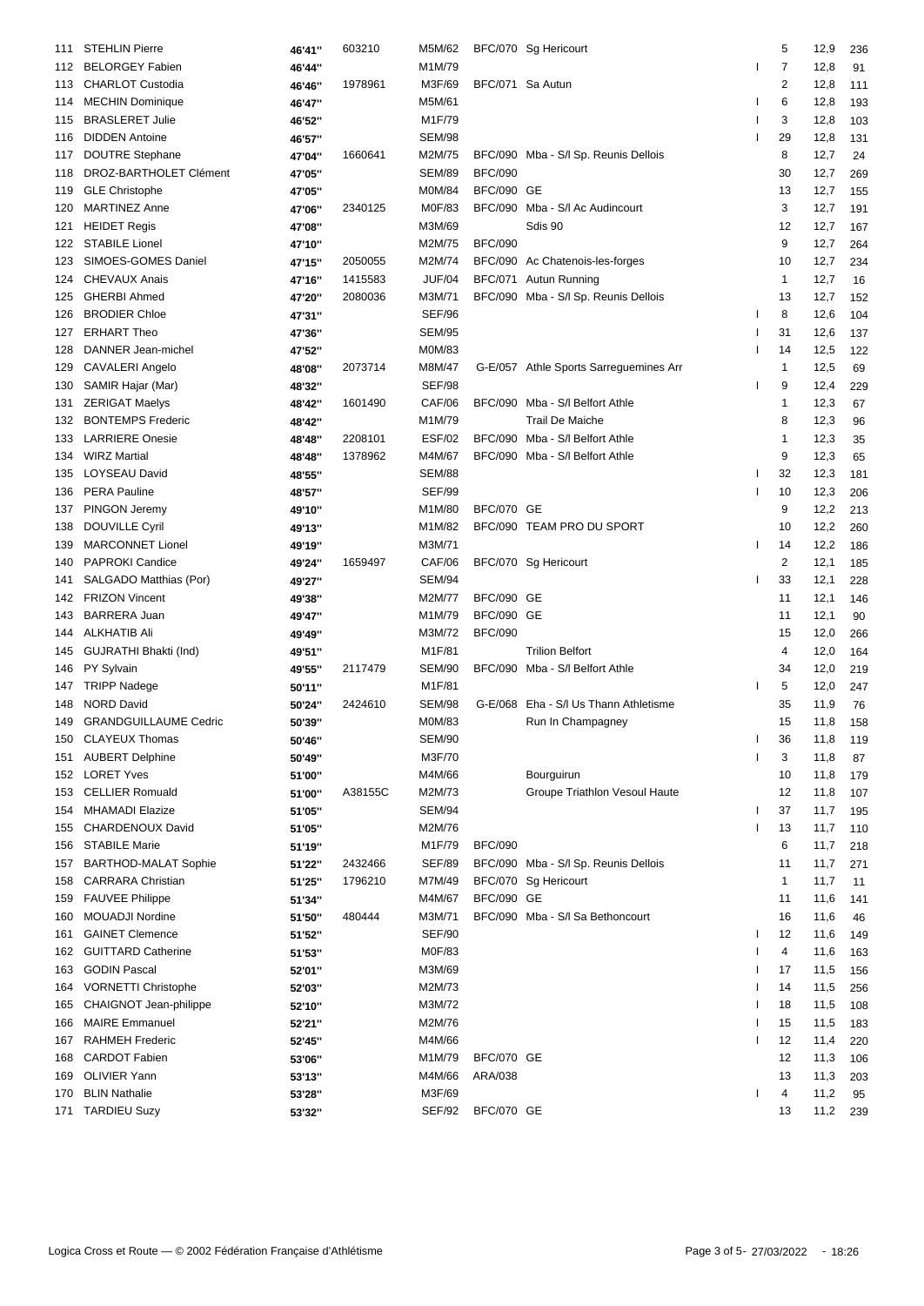| 111 | <b>STEHLIN Pierre</b>       | 46'41" | 603210  | M5M/62           |                   | BFC/070 Sg Hericourt                   |    | 5            | 12,9 | 236 |
|-----|-----------------------------|--------|---------|------------------|-------------------|----------------------------------------|----|--------------|------|-----|
| 112 | <b>BELORGEY Fabien</b>      | 46'44" |         | M1M/79           |                   |                                        | I  | 7            | 12,8 | 91  |
| 113 | <b>CHARLOT Custodia</b>     | 46'46" | 1978961 | M3F/69           | BFC/071 Sa Autun  |                                        |    | 2            | 12,8 | 111 |
| 114 | <b>MECHIN Dominique</b>     | 46'47" |         | M5M/61           |                   |                                        | ı  | 6            | 12,8 | 193 |
| 115 | <b>BRASLERET Julie</b>      | 46'52" |         | M1F/79           |                   |                                        | J. | 3            | 12,8 | 103 |
| 116 | <b>DIDDEN Antoine</b>       | 46'57" |         | <b>SEM/98</b>    |                   |                                        |    | 29           | 12,8 | 131 |
| 117 | <b>DOUTRE Stephane</b>      | 47'04" | 1660641 | M2M/75           |                   | BFC/090 Mba - S/I Sp. Reunis Dellois   |    | 8            | 12,7 | 24  |
| 118 | DROZ-BARTHOLET Clément      | 47'05" |         | <b>SEM/89</b>    | <b>BFC/090</b>    |                                        |    | 30           | 12,7 | 269 |
| 119 | <b>GLE Christophe</b>       | 47'05" |         | M0M/84           | <b>BFC/090 GE</b> |                                        |    | 13           | 12,7 | 155 |
| 120 | <b>MARTINEZ Anne</b>        | 47'06" | 2340125 | M0F/83           |                   | BFC/090 Mba - S/I Ac Audincourt        |    | 3            | 12,7 | 191 |
| 121 | <b>HEIDET Regis</b>         |        |         | M3M/69           |                   | Sdis 90                                |    | 12           | 12,7 |     |
|     | <b>STABILE Lionel</b>       | 47'08" |         |                  | <b>BFC/090</b>    |                                        |    | 9            |      | 167 |
| 122 | SIMOES-GOMES Daniel         | 47'10" |         | M2M/75<br>M2M/74 |                   |                                        |    |              | 12,7 | 264 |
| 123 |                             | 47'15" | 2050055 |                  |                   | BFC/090 Ac Chatenois-les-forges        |    | 10           | 12,7 | 234 |
| 124 | <b>CHEVAUX Anais</b>        | 47'16" | 1415583 | <b>JUF/04</b>    |                   | BFC/071 Autun Running                  |    | 1            | 12,7 | 16  |
| 125 | <b>GHERBI Ahmed</b>         | 47'20" | 2080036 | M3M/71           |                   | BFC/090 Mba - S/I Sp. Reunis Dellois   |    | 13           | 12,7 | 152 |
| 126 | <b>BRODIER Chloe</b>        | 47'31" |         | <b>SEF/96</b>    |                   |                                        |    | 8            | 12,6 | 104 |
| 127 | <b>ERHART Theo</b>          | 47'36" |         | <b>SEM/95</b>    |                   |                                        |    | 31           | 12,6 | 137 |
| 128 | DANNER Jean-michel          | 47'52" |         | M0M/83           |                   |                                        |    | 14           | 12,5 | 122 |
| 129 | CAVALERI Angelo             | 48'08" | 2073714 | M8M/47           |                   | G-E/057 Athle Sports Sarreguemines Arr |    | 1            | 12,5 | 69  |
| 130 | SAMIR Hajar (Mar)           | 48'32" |         | <b>SEF/98</b>    |                   |                                        |    | 9            | 12,4 | 229 |
| 131 | <b>ZERIGAT Maelys</b>       | 48'42" | 1601490 | CAF/06           |                   | BFC/090 Mba - S/I Belfort Athle        |    | $\mathbf{1}$ | 12,3 | 67  |
| 132 | <b>BONTEMPS Frederic</b>    | 48'42" |         | M1M/79           |                   | <b>Trail De Maiche</b>                 |    | 8            | 12,3 | 96  |
| 133 | <b>LARRIERE</b> Onesie      | 48'48" | 2208101 | <b>ESF/02</b>    |                   | BFC/090 Mba - S/I Belfort Athle        |    | 1            | 12,3 | 35  |
| 134 | <b>WIRZ Martial</b>         | 48'48" | 1378962 | M4M/67           |                   | BFC/090 Mba - S/I Belfort Athle        |    | 9            | 12,3 | 65  |
| 135 | LOYSEAU David               | 48'55" |         | <b>SEM/88</b>    |                   |                                        | J. | 32           | 12,3 | 181 |
| 136 | <b>PERA Pauline</b>         | 48'57" |         | <b>SEF/99</b>    |                   |                                        |    | 10           | 12,3 | 206 |
| 137 | PINGON Jeremy               | 49'10" |         | M1M/80           | <b>BFC/070 GE</b> |                                        |    | 9            | 12,2 | 213 |
| 138 | <b>DOUVILLE Cyril</b>       | 49'13" |         | M1M/82           |                   | BFC/090 TEAM PRO DU SPORT              |    | 10           | 12,2 | 260 |
| 139 | <b>MARCONNET Lionel</b>     | 49'19" |         | M3M/71           |                   |                                        | ı  | 14           | 12,2 | 186 |
| 140 | <b>PAPROKI Candice</b>      | 49'24" | 1659497 | CAF/06           |                   | BFC/070 Sg Hericourt                   |    | 2            | 12,1 | 185 |
| 141 | SALGADO Matthias (Por)      | 49'27" |         | SEM/94           |                   |                                        |    | 33           | 12,1 | 228 |
| 142 | <b>FRIZON Vincent</b>       | 49'38" |         | M2M/77           | <b>BFC/090 GE</b> |                                        |    | 11           | 12,1 | 146 |
| 143 | <b>BARRERA Juan</b>         | 49'47" |         | M1M/79           | <b>BFC/090 GE</b> |                                        |    | 11           | 12,1 | 90  |
| 144 | <b>ALKHATIB Ali</b>         | 49'49" |         | M3M/72           | <b>BFC/090</b>    |                                        |    | 15           | 12,0 | 266 |
| 145 | GUJRATHI Bhakti (Ind)       | 49'51" |         | M1F/81           |                   | <b>Trilion Belfort</b>                 |    | 4            | 12,0 | 164 |
| 146 | PY Sylvain                  | 49'55" | 2117479 | <b>SEM/90</b>    |                   | BFC/090 Mba - S/I Belfort Athle        |    | 34           | 12,0 | 219 |
| 147 | <b>TRIPP Nadege</b>         | 50'11" |         | M1F/81           |                   |                                        |    | 5            | 12,0 | 247 |
| 148 | <b>NORD David</b>           | 50'24" | 2424610 | <b>SEM/98</b>    |                   | G-E/068 Eha - S/I Us Thann Athletisme  |    | 35           | 11,9 | 76  |
|     | 149 GRANDGUILLAUME Cedric   | 50'39" |         | M0M/83           |                   | Run In Champagney                      |    | 15           | 11,8 | 158 |
|     | 150 CLAYEUX Thomas          | 50'46" |         | <b>SEM/90</b>    |                   |                                        |    | 36           | 11,8 | 119 |
| 151 | <b>AUBERT Delphine</b>      | 50'49" |         | M3F/70           |                   |                                        |    | 3            | 11,8 | 87  |
| 152 | <b>LORET Yves</b>           | 51'00" |         | M4M/66           |                   | Bourguirun                             |    | 10           | 11,8 | 179 |
| 153 | <b>CELLIER Romuald</b>      | 51'00" | A38155C | M2M/73           |                   | Groupe Triathlon Vesoul Haute          |    | 12           | 11,8 | 107 |
| 154 | <b>MHAMADI Elazize</b>      | 51'05" |         | SEM/94           |                   |                                        |    | 37           | 11,7 | 195 |
| 155 | CHARDENOUX David            | 51'05" |         | M2M/76           |                   |                                        | J. | 13           | 11,7 | 110 |
| 156 | <b>STABILE Marie</b>        |        |         | M1F/79           | <b>BFC/090</b>    |                                        |    | 6            | 11,7 | 218 |
|     |                             | 51'19" | 2432466 | <b>SEF/89</b>    |                   | BFC/090 Mba - S/I Sp. Reunis Dellois   |    | 11           |      |     |
| 157 | <b>BARTHOD-MALAT Sophie</b> | 51'22" |         | M7M/49           |                   |                                        |    | 1            | 11,7 | 271 |
| 158 | <b>CARRARA Christian</b>    | 51'25" | 1796210 |                  |                   | BFC/070 Sg Hericourt                   |    |              | 11,7 | 11  |
| 159 | <b>FAUVEE Philippe</b>      | 51'34" |         | M4M/67           | <b>BFC/090 GE</b> |                                        |    | 11           | 11,6 | 141 |
| 160 | <b>MOUADJI Nordine</b>      | 51'50" | 480444  | M3M/71           |                   | BFC/090 Mba - S/I Sa Bethoncourt       |    | 16           | 11,6 | 46  |
| 161 | <b>GAINET Clemence</b>      | 51'52" |         | SEF/90           |                   |                                        | ı  | 12           | 11,6 | 149 |
| 162 | <b>GUITTARD Catherine</b>   | 51'53" |         | M0F/83           |                   |                                        |    | 4            | 11,6 | 163 |
| 163 | <b>GODIN Pascal</b>         | 52'01" |         | M3M/69           |                   |                                        | J. | 17           | 11,5 | 156 |
| 164 | <b>VORNETTI Christophe</b>  | 52'03" |         | M2M/73           |                   |                                        |    | 14           | 11,5 | 256 |
| 165 | CHAIGNOT Jean-philippe      | 52'10" |         | M3M/72           |                   |                                        |    | 18           | 11,5 | 108 |
| 166 | <b>MAIRE Emmanuel</b>       | 52'21" |         | M2M/76           |                   |                                        |    | 15           | 11,5 | 183 |
| 167 | <b>RAHMEH Frederic</b>      | 52'45" |         | M4M/66           |                   |                                        |    | 12           | 11,4 | 220 |
| 168 | <b>CARDOT Fabien</b>        | 53'06" |         | M1M/79           | <b>BFC/070 GE</b> |                                        |    | 12           | 11,3 | 106 |
| 169 | <b>OLIVIER Yann</b>         | 53'13" |         | M4M/66           | ARA/038           |                                        |    | 13           | 11,3 | 203 |
| 170 | <b>BLIN Nathalie</b>        | 53'28" |         | M3F/69           |                   |                                        |    | 4            | 11,2 | 95  |
| 171 | <b>TARDIEU Suzy</b>         | 53'32" |         | SEF/92           | BFC/070 GE        |                                        |    | 13           | 11,2 | 239 |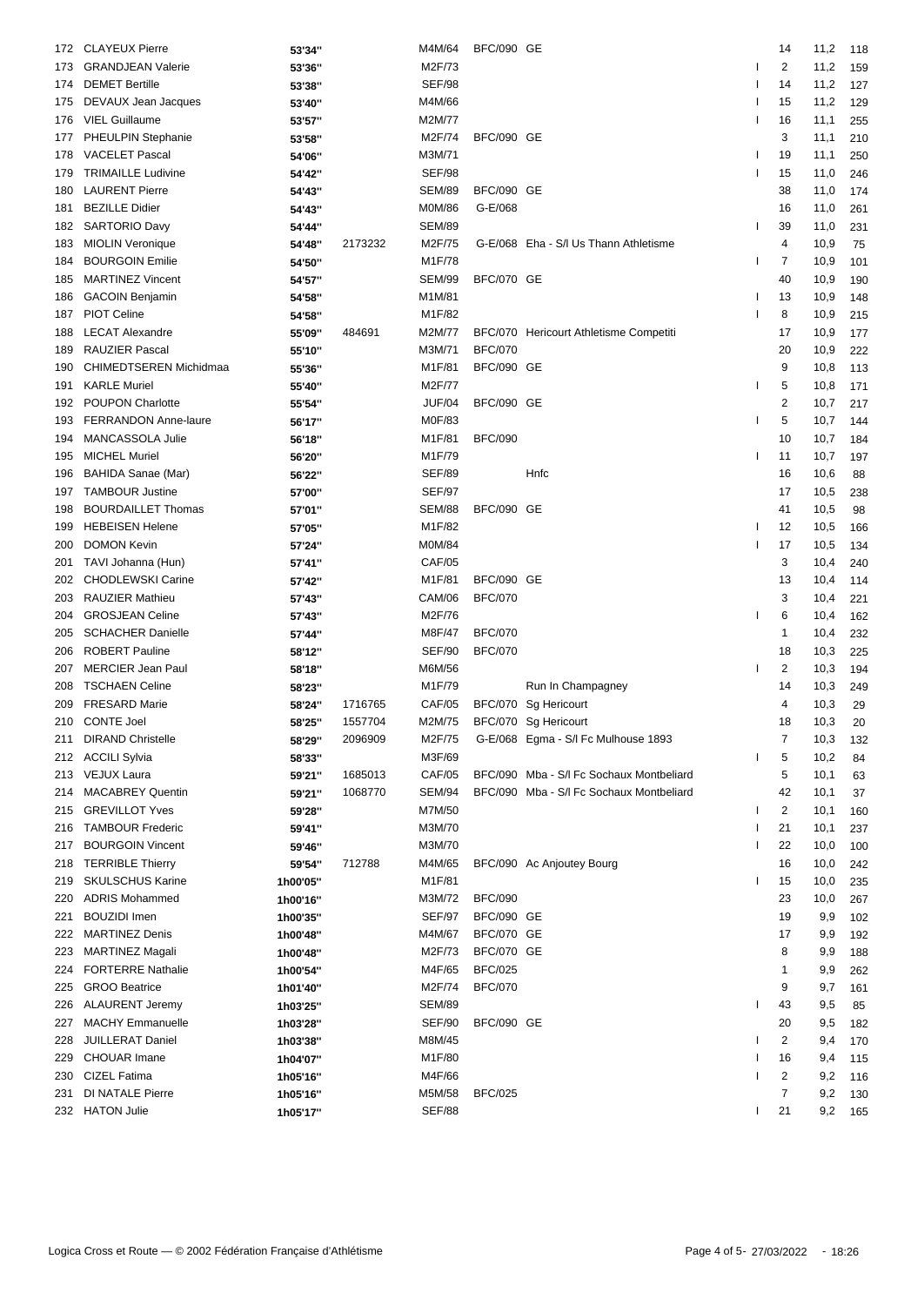| 172 | <b>CLAYEUX Pierre</b>                            | 53'34"   |         | M4M/64        | <b>BFC/090 GE</b>                   |                                            |   | 14             | 11,2 | 118 |
|-----|--------------------------------------------------|----------|---------|---------------|-------------------------------------|--------------------------------------------|---|----------------|------|-----|
| 173 | <b>GRANDJEAN Valerie</b>                         | 53'36"   |         | M2F/73        |                                     |                                            |   | 2              | 11,2 | 159 |
| 174 | <b>DEMET Bertille</b>                            | 53'38"   |         | <b>SEF/98</b> |                                     |                                            |   | 14             | 11,2 | 127 |
| 175 | DEVAUX Jean Jacques                              | 53'40"   |         | M4M/66        |                                     |                                            | ı | 15             | 11,2 | 129 |
| 176 | <b>VIEL Guillaume</b>                            | 53'57"   |         | M2M/77        |                                     |                                            | ı | 16             | 11,1 | 255 |
| 177 | PHEULPIN Stephanie                               | 53'58"   |         | M2F/74        | <b>BFC/090 GE</b>                   |                                            |   | 3              | 11,1 | 210 |
| 178 | <b>VACELET Pascal</b>                            | 54'06"   |         | M3M/71        |                                     |                                            |   | 19             | 11,1 | 250 |
| 179 | <b>TRIMAILLE Ludivine</b>                        | 54'42"   |         | <b>SEF/98</b> |                                     |                                            |   | 15             | 11,0 | 246 |
| 180 | <b>LAURENT Pierre</b>                            | 54'43"   |         | <b>SEM/89</b> | <b>BFC/090 GE</b>                   |                                            |   | 38             | 11,0 | 174 |
| 181 | <b>BEZILLE Didier</b>                            | 54'43"   |         | <b>M0M/86</b> | G-E/068                             |                                            |   | 16             | 11,0 | 261 |
| 182 | <b>SARTORIO Davy</b>                             | 54'44"   |         | <b>SEM/89</b> |                                     |                                            |   | 39             | 11,0 | 231 |
| 183 | <b>MIOLIN Veronique</b>                          | 54'48"   | 2173232 | M2F/75        |                                     | G-E/068 Eha - S/I Us Thann Athletisme      |   | $\overline{4}$ | 10,9 | 75  |
| 184 | <b>BOURGOIN Emilie</b>                           | 54'50"   |         | M1F/78        |                                     |                                            | ı | 7              | 10,9 | 101 |
| 185 | <b>MARTINEZ Vincent</b>                          | 54'57"   |         | <b>SEM/99</b> | <b>BFC/070 GE</b>                   |                                            |   | 40             | 10,9 | 190 |
| 186 | <b>GACOIN Benjamin</b>                           | 54'58"   |         | M1M/81        |                                     |                                            | L | 13             | 10,9 | 148 |
|     | <b>PIOT Celine</b>                               |          |         | M1F/82        |                                     |                                            |   | 8              | 10,9 |     |
| 187 |                                                  | 54'58"   |         |               |                                     |                                            |   |                |      | 215 |
| 188 | <b>LECAT Alexandre</b>                           | 55'09"   | 484691  | M2M/77        |                                     | BFC/070 Hericourt Athletisme Competiti     |   | 17             | 10,9 | 177 |
| 189 | RAUZIER Pascal                                   | 55'10"   |         | M3M/71        | <b>BFC/070</b><br><b>BFC/090 GE</b> |                                            |   | 20             | 10,9 | 222 |
| 190 | CHIMEDTSEREN Michidmaa                           | 55'36"   |         | M1F/81        |                                     |                                            |   | 9              | 10,8 | 113 |
| 191 | <b>KARLE Muriel</b>                              | 55'40"   |         | M2F/77        |                                     |                                            |   | 5              | 10,8 | 171 |
| 192 | <b>POUPON Charlotte</b>                          | 55'54"   |         | <b>JUF/04</b> | <b>BFC/090 GE</b>                   |                                            |   | $\overline{2}$ | 10,7 | 217 |
| 193 | <b>FERRANDON Anne-laure</b>                      | 56'17"   |         | M0F/83        |                                     |                                            |   | 5              | 10,7 | 144 |
| 194 | MANCASSOLA Julie                                 | 56'18"   |         | M1F/81        | <b>BFC/090</b>                      |                                            |   | 10             | 10,7 | 184 |
| 195 | <b>MICHEL Muriel</b>                             | 56'20"   |         | M1F/79        |                                     |                                            |   | 11             | 10,7 | 197 |
| 196 | BAHIDA Sanae (Mar)                               | 56'22"   |         | <b>SEF/89</b> |                                     | Hnfc                                       |   | 16             | 10,6 | 88  |
| 197 | <b>TAMBOUR Justine</b>                           | 57'00"   |         | <b>SEF/97</b> |                                     |                                            |   | 17             | 10,5 | 238 |
| 198 | <b>BOURDAILLET Thomas</b>                        | 57'01"   |         | <b>SEM/88</b> | <b>BFC/090 GE</b>                   |                                            |   | 41             | 10,5 | 98  |
| 199 | <b>HEBEISEN Helene</b>                           | 57'05"   |         | M1F/82        |                                     |                                            |   | 12             | 10,5 | 166 |
| 200 | <b>DOMON Kevin</b>                               | 57'24"   |         | M0M/84        |                                     |                                            |   | 17             | 10,5 | 134 |
| 201 | TAVI Johanna (Hun)                               | 57'41"   |         | <b>CAF/05</b> |                                     |                                            |   | 3              | 10,4 | 240 |
| 202 | CHODLEWSKI Carine                                | 57'42"   |         | M1F/81        | <b>BFC/090 GE</b>                   |                                            |   | 13             | 10,4 | 114 |
| 203 | <b>RAUZIER Mathieu</b>                           | 57'43"   |         | <b>CAM/06</b> | <b>BFC/070</b>                      |                                            |   | 3              | 10,4 | 221 |
| 204 | <b>GROSJEAN Celine</b>                           | 57'43"   |         | M2F/76        |                                     |                                            |   | 6              | 10,4 | 162 |
| 205 | <b>SCHACHER Danielle</b>                         | 57'44"   |         | M8F/47        | <b>BFC/070</b>                      |                                            |   | 1              | 10,4 | 232 |
| 206 | <b>ROBERT Pauline</b>                            | 58'12"   |         | <b>SEF/90</b> | <b>BFC/070</b>                      |                                            |   | 18             | 10,3 | 225 |
| 207 | <b>MERCIER Jean Paul</b>                         | 58'18"   |         | M6M/56        |                                     |                                            |   | 2              | 10,3 | 194 |
| 208 | <b>TSCHAEN Celine</b>                            | 58'23"   |         | M1F/79        |                                     | Run In Champagney                          |   | 14             | 10,3 | 249 |
| 209 | <b>FRESARD Marie</b>                             | 58'24"   | 1716765 | <b>CAF/05</b> |                                     | BFC/070 Sg Hericourt                       |   | 4              | 10,3 | 29  |
|     | 210 CONTE Joel                                   | 58'25"   | 1557704 | M2M/75        |                                     | BFC/070 Sg Hericourt                       |   | 18             | 10,3 | 20  |
|     | 211 DIRAND Christelle                            | 58'29"   | 2096909 |               |                                     | M2F/75 G-E/068 Egma - S/l Fc Mulhouse 1893 |   | $\overline{7}$ | 10,3 | 132 |
|     | 212 ACCILI Sylvia                                | 58'33"   |         | M3F/69        |                                     |                                            |   | 5              | 10,2 | 84  |
| 213 | <b>VEJUX Laura</b>                               | 59'21"   | 1685013 | <b>CAF/05</b> |                                     | BFC/090 Mba - S/I Fc Sochaux Montbeliard   |   | 5              | 10,1 | 63  |
| 214 | <b>MACABREY Quentin</b>                          | 59'21"   | 1068770 | <b>SEM/94</b> |                                     | BFC/090 Mba - S/I Fc Sochaux Montbeliard   |   | 42             | 10,1 |     |
|     |                                                  |          |         | M7M/50        |                                     |                                            |   | 2              |      | 37  |
| 215 | <b>GREVILLOT Yves</b><br><b>TAMBOUR Frederic</b> | 59'28"   |         | M3M/70        |                                     |                                            | ı | 21             | 10,1 | 160 |
| 216 |                                                  | 59'41"   |         |               |                                     |                                            |   |                | 10,1 | 237 |
| 217 | <b>BOURGOIN Vincent</b>                          | 59'46"   |         | M3M/70        |                                     |                                            |   | 22             | 10,0 | 100 |
| 218 | <b>TERRIBLE Thierry</b>                          | 59'54"   | 712788  | M4M/65        |                                     | BFC/090 Ac Anjoutey Bourg                  |   | 16             | 10,0 | 242 |
| 219 | <b>SKULSCHUS Karine</b>                          | 1h00'05" |         | M1F/81        |                                     |                                            |   | 15             | 10,0 | 235 |
| 220 | <b>ADRIS Mohammed</b>                            | 1h00'16" |         | M3M/72        | <b>BFC/090</b>                      |                                            |   | 23             | 10,0 | 267 |
| 221 | <b>BOUZIDI</b> Imen                              | 1h00'35" |         | <b>SEF/97</b> | <b>BFC/090 GE</b>                   |                                            |   | 19             | 9,9  | 102 |
| 222 | <b>MARTINEZ Denis</b>                            | 1h00'48" |         | M4M/67        | <b>BFC/070 GE</b>                   |                                            |   | 17             | 9,9  | 192 |
| 223 | MARTINEZ Magali                                  | 1h00'48" |         | M2F/73        | <b>BFC/070 GE</b>                   |                                            |   | 8              | 9,9  | 188 |
| 224 | <b>FORTERRE Nathalie</b>                         | 1h00'54" |         | M4F/65        | <b>BFC/025</b>                      |                                            |   | 1              | 9,9  | 262 |
| 225 | <b>GROO Beatrice</b>                             | 1h01'40" |         | M2F/74        | <b>BFC/070</b>                      |                                            |   | 9              | 9,7  | 161 |
| 226 | <b>ALAURENT Jeremy</b>                           | 1h03'25" |         | <b>SEM/89</b> |                                     |                                            | ı | 43             | 9,5  | 85  |
| 227 | <b>MACHY Emmanuelle</b>                          | 1h03'28" |         | SEF/90        | <b>BFC/090 GE</b>                   |                                            |   | 20             | 9,5  | 182 |
| 228 | <b>JUILLERAT Daniel</b>                          | 1h03'38" |         | M8M/45        |                                     |                                            |   | $\overline{2}$ | 9,4  | 170 |
| 229 | <b>CHOUAR Imane</b>                              | 1h04'07" |         | M1F/80        |                                     |                                            |   | 16             | 9,4  | 115 |
| 230 | CIZEL Fatima                                     | 1h05'16" |         | M4F/66        |                                     |                                            |   | $\overline{2}$ | 9,2  | 116 |
| 231 | DI NATALE Pierre                                 | 1h05'16" |         | M5M/58        | <b>BFC/025</b>                      |                                            |   | $\overline{7}$ | 9,2  | 130 |
|     | 232 HATON Julie                                  | 1h05'17" |         | <b>SEF/88</b> |                                     |                                            | I | 21             | 9,2  | 165 |
|     |                                                  |          |         |               |                                     |                                            |   |                |      |     |